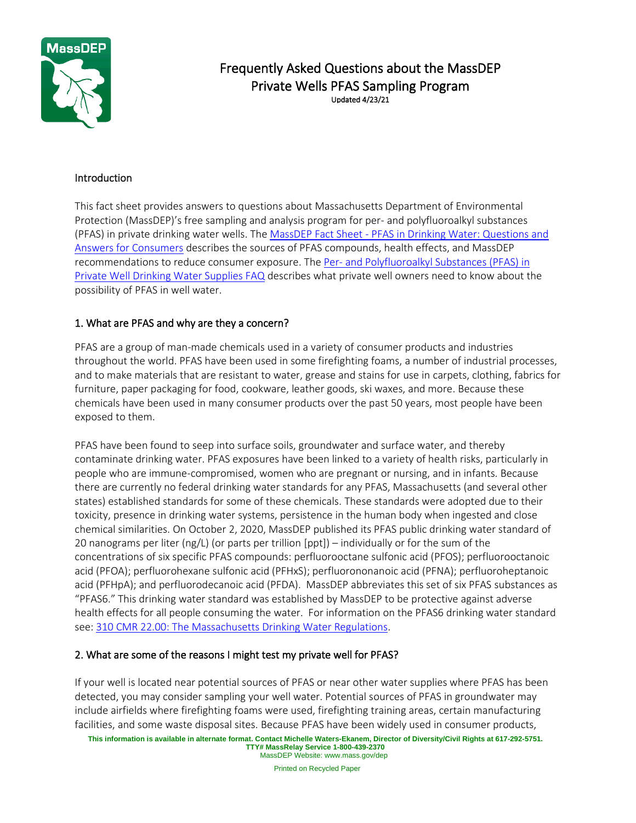

# Frequently Asked Questions about the MassDEP Private Wells PFAS Sampling Program Updated 4/23/21

#### Introduction

This fact sheet provides answers to questions about Massachusetts Department of Environmental Protection (MassDEP)'s free sampling and analysis program for per- and polyfluoroalkyl substances (PFAS) in private drinking water wells. The MassDEP Fact Sheet - [PFAS in Drinking Water: Questions and](https://www.mass.gov/doc/massdep-fact-sheet-pfas-in-drinking-water-questions-and-answers-for-consumers/download)  [Answers for Consumers](https://www.mass.gov/doc/massdep-fact-sheet-pfas-in-drinking-water-questions-and-answers-for-consumers/download) describes the sources of PFAS compounds, health effects, and MassDEP recommendations to reduce consumer exposure. The Per- and Polyfluoroalkyl Substances (PFAS) in [Private Well Drinking Water Supplies FAQ](https://www.mass.gov/info-details/per-and-polyfluoroalkyl-substances-pfas-in-private-well-drinking-water-supplies-faq) describes what private well owners need to know about the possibility of PFAS in well water.

#### 1. What are PFAS and why are they a concern?

PFAS are a group of man-made chemicals used in a variety of consumer products and industries throughout the world. PFAS have been used in some firefighting foams, a number of industrial processes, and to make materials that are resistant to water, grease and stains for use in carpets, clothing, fabrics for furniture, paper packaging for food, cookware, leather goods, ski waxes, and more. Because these chemicals have been used in many consumer products over the past 50 years, most people have been exposed to them.

PFAS have been found to seep into surface soils, groundwater and surface water, and thereby contaminate drinking water. PFAS exposures have been linked to a variety of health risks, particularly in people who are immune-compromised, women who are pregnant or nursing, and in infants. Because there are currently no federal drinking water standards for any PFAS, Massachusetts (and several other states) established standards for some of these chemicals. These standards were adopted due to their toxicity, presence in drinking water systems, persistence in the human body when ingested and close chemical similarities. On October 2, 2020, MassDEP published its PFAS public drinking water standard of 20 nanograms per liter (ng/L) (or parts per trillion [ppt]) – individually or for the sum of the concentrations of six specific PFAS compounds: perfluorooctane sulfonic acid (PFOS); perfluorooctanoic acid (PFOA); perfluorohexane sulfonic acid (PFHxS); perfluorononanoic acid (PFNA); perfluoroheptanoic acid (PFHpA); and perfluorodecanoic acid (PFDA). MassDEP abbreviates this set of six PFAS substances as "PFAS6." This drinking water standard was established by MassDEP to be protective against adverse health effects for all people consuming the water. For information on the PFAS6 drinking water standard see: 310 CMR 22.00: [The Massachusetts Drinking Water Regulations.](https://www.mass.gov/regulations/310-CMR-22-the-massachusetts-drinking-water-regulations)

#### 2. What are some of the reasons I might test my private well for PFAS?

If your well is located near potential sources of PFAS or near other water supplies where PFAS has been detected, you may consider sampling your well water. Potential sources of PFAS in groundwater may include airfields where firefighting foams were used, firefighting training areas, certain manufacturing facilities, and some waste disposal sites. Because PFAS have been widely used in consumer products,

Printed on Recycled Paper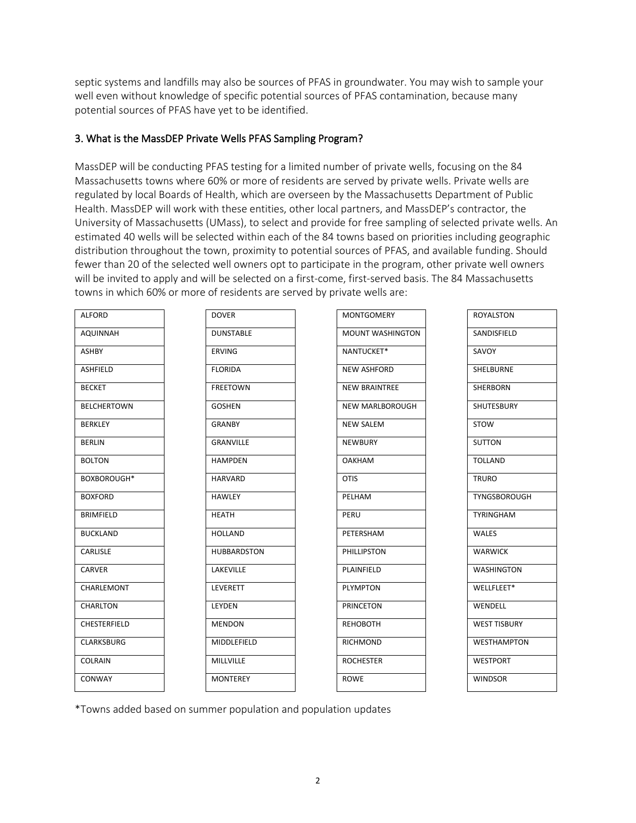septic systems and landfills may also be sources of PFAS in groundwater. You may wish to sample your well even without knowledge of specific potential sources of PFAS contamination, because many potential sources of PFAS have yet to be identified.

#### 3. What is the MassDEP Private Wells PFAS Sampling Program?

MassDEP will be conducting PFAS testing for a limited number of private wells, focusing on the 84 Massachusetts towns where 60% or more of residents are served by private wells. Private wells are regulated by local Boards of Health, which are overseen by the Massachusetts Department of Public Health. MassDEP will work with these entities, other local partners, and MassDEP's contractor, the University of Massachusetts (UMass), to select and provide for free sampling of selected private wells. An estimated 40 wells will be selected within each of the 84 towns based on priorities including geographic distribution throughout the town, proximity to potential sources of PFAS, and available funding. Should fewer than 20 of the selected well owners opt to participate in the program, other private well owners will be invited to apply and will be selected on a first-come, first-served basis. The 84 Massachusetts towns in which 60% or more of residents are served by private wells are:

| <b>ALFORD</b>      | <b>DOVER</b>       | <b>MONTGOMERY</b>       | <b>ROYALSTON</b>    |
|--------------------|--------------------|-------------------------|---------------------|
| AQUINNAH           | <b>DUNSTABLE</b>   | <b>MOUNT WASHINGTON</b> | SANDISFIELD         |
| <b>ASHBY</b>       | <b>ERVING</b>      | NANTUCKET*              | SAVOY               |
| ASHFIELD           | <b>FLORIDA</b>     | NEW ASHFORD             | <b>SHELBURNE</b>    |
| <b>BECKET</b>      | <b>FREETOWN</b>    | <b>NEW BRAINTREE</b>    | <b>SHERBORN</b>     |
| <b>BELCHERTOWN</b> | <b>GOSHEN</b>      | NEW MARLBOROUGH         | <b>SHUTESBURY</b>   |
| <b>BERKLEY</b>     | <b>GRANBY</b>      | <b>NEW SALEM</b>        | <b>STOW</b>         |
| <b>BERLIN</b>      | <b>GRANVILLE</b>   | <b>NEWBURY</b>          | <b>SUTTON</b>       |
| <b>BOLTON</b>      | <b>HAMPDEN</b>     | <b>OAKHAM</b>           | <b>TOLLAND</b>      |
| BOXBOROUGH*        | <b>HARVARD</b>     | <b>OTIS</b>             | <b>TRURO</b>        |
| <b>BOXFORD</b>     | <b>HAWLEY</b>      | PELHAM                  | TYNGSBOROUGH        |
| <b>BRIMFIELD</b>   | <b>HEATH</b>       | PERU                    | <b>TYRINGHAM</b>    |
| <b>BUCKLAND</b>    | <b>HOLLAND</b>     | PETERSHAM               | <b>WALES</b>        |
| <b>CARLISLE</b>    | <b>HUBBARDSTON</b> | <b>PHILLIPSTON</b>      | <b>WARWICK</b>      |
| CARVER             | <b>LAKEVILLE</b>   | PLAINFIELD              | <b>WASHINGTON</b>   |
| CHARLEMONT         | LEVERETT           | <b>PLYMPTON</b>         | WELLFLEET*          |
| <b>CHARLTON</b>    | LEYDEN             | <b>PRINCETON</b>        | WENDELL             |
| CHESTERFIELD       | <b>MENDON</b>      | <b>REHOBOTH</b>         | <b>WEST TISBURY</b> |
| <b>CLARKSBURG</b>  | MIDDLEFIELD        | <b>RICHMOND</b>         | <b>WESTHAMPTON</b>  |
| <b>COLRAIN</b>     | <b>MILLVILLE</b>   | <b>ROCHESTER</b>        | WESTPORT            |
| CONWAY             | <b>MONTEREY</b>    | <b>ROWE</b>             | <b>WINDSOR</b>      |

\*Towns added based on summer population and population updates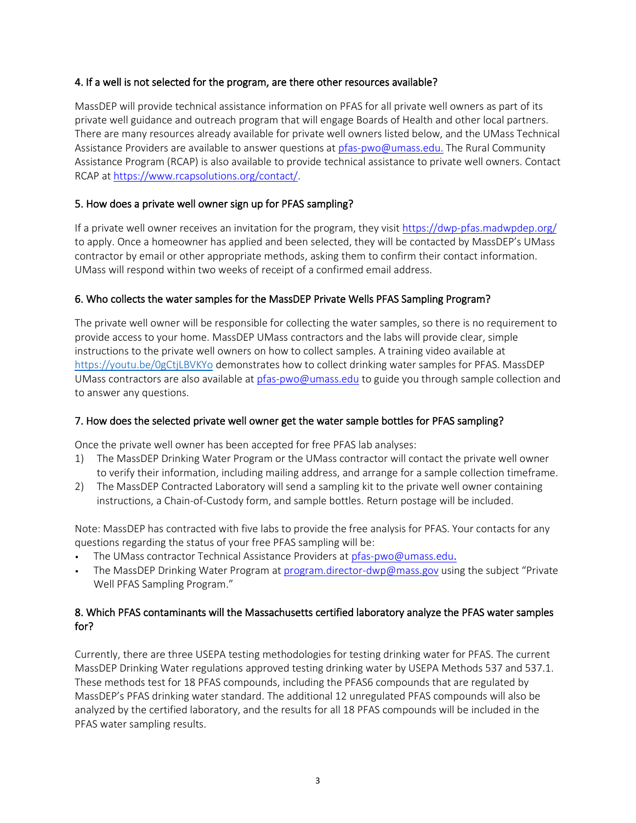### 4. If a well is not selected for the program, are there other resources available?

MassDEP will provide technical assistance information on PFAS for all private well owners as part of its private well guidance and outreach program that will engage Boards of Health and other local partners. There are many resources already available for private well owners listed below, and the UMass Technical Assistance Providers are available to answer questions at [pfas-pwo@umass.edu.](mailto:pfas-pwo@umass.edu) The Rural Community Assistance Program (RCAP) is also available to provide technical assistance to private well owners. Contact RCAP at [https://www.rcapsolutions.org/contact/.](https://www.rcapsolutions.org/contact/)

### 5. How does a private well owner sign up for PFAS sampling?

If a private well owner receives an invitation for the program, they visit<https://dwp-pfas.madwpdep.org/> to apply. Once a homeowner has applied and been selected, they will be contacted by MassDEP's UMass contractor by email or other appropriate methods, asking them to confirm their contact information. UMass will respond within two weeks of receipt of a confirmed email address.

#### 6. Who collects the water samples for the MassDEP Private Wells PFAS Sampling Program?

The private well owner will be responsible for collecting the water samples, so there is no requirement to provide access to your home. MassDEP UMass contractors and the labs will provide clear, simple instructions to the private well owners on how to collect samples. A training video available at <https://youtu.be/0gCtjLBVKYo> demonstrates how to collect drinking water samples for PFAS. MassDEP UMass contractors are also available at [pfas-pwo@umass.edu](mailto:pfas-pwo@umass.edu) to guide you through sample collection and to answer any questions.

### 7. How does the selected private well owner get the water sample bottles for PFAS sampling?

Once the private well owner has been accepted for free PFAS lab analyses:

- 1) The MassDEP Drinking Water Program or the UMass contractor will contact the private well owner to verify their information, including mailing address, and arrange for a sample collection timeframe.
- 2) The MassDEP Contracted Laboratory will send a sampling kit to the private well owner containing instructions, a Chain-of-Custody form, and sample bottles. Return postage will be included.

Note: MassDEP has contracted with five labs to provide the free analysis for PFAS. Your contacts for any questions regarding the status of your free PFAS sampling will be:

- The UMass contractor Technical Assistance Providers at [pfas-pwo@umass.edu](mailto:pfas-pwo@umass.edu).
- The MassDEP Drinking Water Program at [program.director-dwp@mass.gov](mailto:program.director-dwp@mass.gov) using the subject "Private Well PFAS Sampling Program."

#### 8. Which PFAS contaminants will the Massachusetts certified laboratory analyze the PFAS water samples for?

Currently, there are three USEPA testing methodologies for testing drinking water for PFAS. The current MassDEP Drinking Water regulations approved testing drinking water by USEPA Methods 537 and 537.1. These methods test for 18 PFAS compounds, including the PFAS6 compounds that are regulated by MassDEP's PFAS drinking water standard. The additional 12 unregulated PFAS compounds will also be analyzed by the certified laboratory, and the results for all 18 PFAS compounds will be included in the PFAS water sampling results.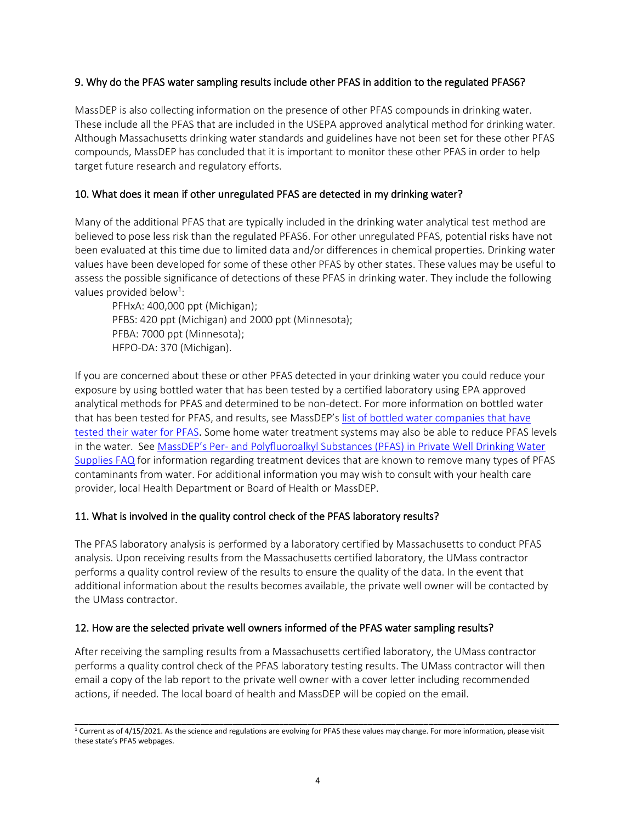#### 9. Why do the PFAS water sampling results include other PFAS in addition to the regulated PFAS6?

MassDEP is also collecting information on the presence of other PFAS compounds in drinking water. These include all the PFAS that are included in the USEPA approved analytical method for drinking water. Although Massachusetts drinking water standards and guidelines have not been set for these other PFAS compounds, MassDEP has concluded that it is important to monitor these other PFAS in order to help target future research and regulatory efforts.

#### 10. What does it mean if other unregulated PFAS are detected in my drinking water?

Many of the additional PFAS that are typically included in the drinking water analytical test method are believed to pose less risk than the regulated PFAS6. For other unregulated PFAS, potential risks have not been evaluated at this time due to limited data and/or differences in chemical properties. Drinking water values have been developed for some of these other PFAS by other states. These values may be useful to assess the possible significance of detections of these PFAS in drinking water. They include the following values provided below<sup>1</sup>:

PFHxA: 400,000 ppt (Michigan); PFBS: 420 ppt (Michigan) and 2000 ppt (Minnesota); PFBA: 7000 ppt (Minnesota); HFPO-DA: 370 (Michigan).

If you are concerned about these or other PFAS detected in your drinking water you could reduce your exposure by using bottled water that has been tested by a certified laboratory using EPA approved analytical methods for PFAS and determined to be non-detect. For more information on bottled water that has been tested for PFAS, and results, see MassDEP's [list of bottled water companies that have](https://www.mass.gov/doc/bottled-water-tested-for-pfas)  [tested their water for PFAS](https://www.mass.gov/doc/bottled-water-tested-for-pfas). Some home water treatment systems may also be able to reduce PFAS levels in the water. See MassDEP's Per- [and Polyfluoroalkyl Substances \(PFAS\) in Private Well Drinking Water](https://www.mass.gov/info-details/per-and-polyfluoroalkyl-substances-pfas-in-private-well-drinking-water-supplies-faq)  [Supplies FAQ](https://www.mass.gov/info-details/per-and-polyfluoroalkyl-substances-pfas-in-private-well-drinking-water-supplies-faq) for information regarding treatment devices that are known to remove many types of PFAS contaminants from water. For additional information you may wish to consult with your health care provider, local Health Department or Board of Health or MassDEP.

#### 11. What is involved in the quality control check of the PFAS laboratory results?

The PFAS laboratory analysis is performed by a laboratory certified by Massachusetts to conduct PFAS analysis. Upon receiving results from the Massachusetts certified laboratory, the UMass contractor performs a quality control review of the results to ensure the quality of the data. In the event that additional information about the results becomes available, the private well owner will be contacted by the UMass contractor.

### 12. How are the selected private well owners informed of the PFAS water sampling results?

After receiving the sampling results from a Massachusetts certified laboratory, the UMass contractor performs a quality control check of the PFAS laboratory testing results. The UMass contractor will then email a copy of the lab report to the private well owner with a cover letter including recommended actions, if needed. The local board of health and MassDEP will be copied on the email.

\_\_\_\_\_\_\_\_\_\_\_\_\_\_\_\_\_\_\_\_\_\_\_\_\_\_\_\_\_\_\_\_\_\_\_\_\_\_\_\_\_\_\_\_\_\_\_\_\_\_\_\_\_\_\_\_\_\_\_\_\_\_\_\_\_\_\_\_\_\_\_\_\_\_\_\_\_\_\_\_\_\_\_\_\_\_\_\_\_\_\_\_\_\_\_\_\_\_\_\_\_\_\_\_  $^1$  Current as of 4/15/2021. As the science and regulations are evolving for PFAS these values may change. For more information, please visit these state's PFAS webpages.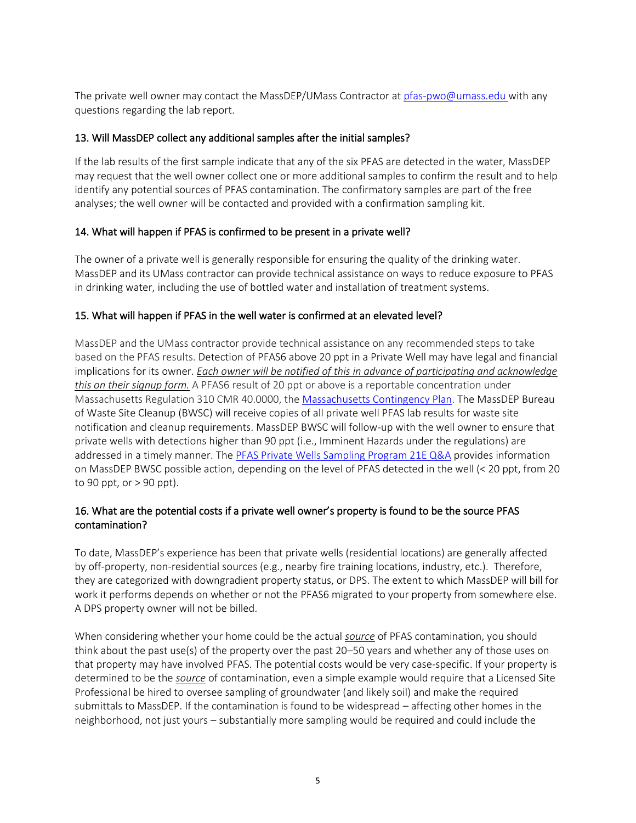The private well owner may contact the MassDEP/UMass Contractor a[t pfas-pwo@umass.edu](mailto:pfas-pwo@umass.edu) with any questions regarding the lab report.

#### 13. Will MassDEP collect any additional samples after the initial samples?

If the lab results of the first sample indicate that any of the six PFAS are detected in the water, MassDEP may request that the well owner collect one or more additional samples to confirm the result and to help identify any potential sources of PFAS contamination. The confirmatory samples are part of the free analyses; the well owner will be contacted and provided with a confirmation sampling kit.

### 14. What will happen if PFAS is confirmed to be present in a private well?

The owner of a private well is generally responsible for ensuring the quality of the drinking water. MassDEP and its UMass contractor can provide technical assistance on ways to reduce exposure to PFAS in drinking water, including the use of bottled water and installation of treatment systems.

#### 15. What will happen if PFAS in the well water is confirmed at an elevated level?

MassDEP and the UMass contractor provide technical assistance on any recommended steps to take based on the PFAS results. Detection of PFAS6 above 20 ppt in a Private Well may have legal and financial implications for its owner. *Each owner will be notified of this in advance of participating and acknowledge this on their signup form.* A PFAS6 result of 20 ppt or above is a reportable concentration under Massachusetts Regulation 310 CMR 40.0000, the [Massachusetts Contingency Plan.](https://www.mass.gov/guides/the-waste-site-cleanup-program) The MassDEP Bureau of Waste Site Cleanup (BWSC) will receive copies of all private well PFAS lab results for waste site notification and cleanup requirements. MassDEP BWSC will follow-up with the well owner to ensure that private wells with detections higher than 90 ppt (i.e., Imminent Hazards under the regulations) are addressed in a timely manner. The [PFAS Private Wells Sampling Program 21E Q&A](https://www.mass.gov/doc/private-wells-pfas-sampling-program-21e-questions-and-answers) provides information on MassDEP BWSC possible action, depending on the level of PFAS detected in the well (< 20 ppt, from 20 to 90 ppt, or  $>$  90 ppt).

### 16. What are the potential costs if a private well owner's property is found to be the source PFAS contamination?

To date, MassDEP's experience has been that private wells (residential locations) are generally affected by off-property, non-residential sources (e.g., nearby fire training locations, industry, etc.). Therefore, they are categorized with downgradient property status, or DPS. The extent to which MassDEP will bill for work it performs depends on whether or not the PFAS6 migrated to your property from somewhere else. A DPS property owner will not be billed.

When considering whether your home could be the actual *source* of PFAS contamination, you should think about the past use(s) of the property over the past 20–50 years and whether any of those uses on that property may have involved PFAS. The potential costs would be very case-specific. If your property is determined to be the *source* of contamination, even a simple example would require that a Licensed Site Professional be hired to oversee sampling of groundwater (and likely soil) and make the required submittals to MassDEP. If the contamination is found to be widespread – affecting other homes in the neighborhood, not just yours – substantially more sampling would be required and could include the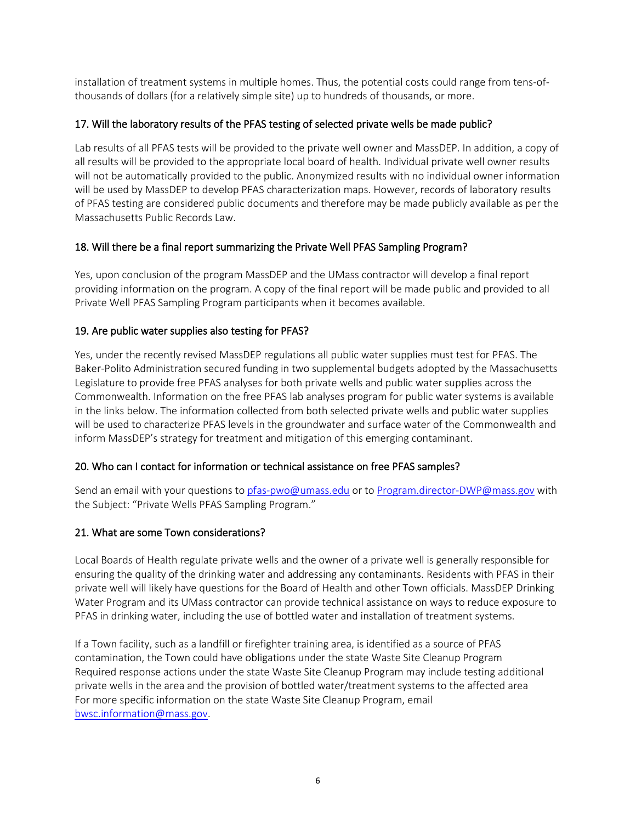installation of treatment systems in multiple homes. Thus, the potential costs could range from tens-ofthousands of dollars (for a relatively simple site) up to hundreds of thousands, or more.

### 17. Will the laboratory results of the PFAS testing of selected private wells be made public?

Lab results of all PFAS tests will be provided to the private well owner and MassDEP. In addition, a copy of all results will be provided to the appropriate local board of health. Individual private well owner results will not be automatically provided to the public. Anonymized results with no individual owner information will be used by MassDEP to develop PFAS characterization maps. However, records of laboratory results of PFAS testing are considered public documents and therefore may be made publicly available as per the Massachusetts Public Records Law.

### 18. Will there be a final report summarizing the Private Well PFAS Sampling Program?

Yes, upon conclusion of the program MassDEP and the UMass contractor will develop a final report providing information on the program. A copy of the final report will be made public and provided to all Private Well PFAS Sampling Program participants when it becomes available.

### 19. Are public water supplies also testing for PFAS?

Yes, under the recently revised MassDEP regulations all public water supplies must test for PFAS. The Baker-Polito Administration secured funding in two supplemental budgets adopted by the Massachusetts Legislature to provide free PFAS analyses for both private wells and public water supplies across the Commonwealth. Information on the free PFAS lab analyses program for public water systems is available in the links below. The information collected from both selected private wells and public water supplies will be used to characterize PFAS levels in the groundwater and surface water of the Commonwealth and inform MassDEP's strategy for treatment and mitigation of this emerging contaminant.

# 20. Who can I contact for information or technical assistance on free PFAS samples?

Send an email with your questions to [pfas-pwo@umass.edu](mailto:pfas-pwo@umass.edu) or to [Program.director-DWP@mass.gov](mailto:Program.director-DWP@mass.gov) with the Subject: "Private Wells PFAS Sampling Program."

# 21. What are some Town considerations?

Local Boards of Health regulate private wells and the owner of a private well is generally responsible for ensuring the quality of the drinking water and addressing any contaminants. Residents with PFAS in their private well will likely have questions for the Board of Health and other Town officials. MassDEP Drinking Water Program and its UMass contractor can provide technical assistance on ways to reduce exposure to PFAS in drinking water, including the use of bottled water and installation of treatment systems.

If a Town facility, such as a landfill or firefighter training area, is identified as a source of PFAS contamination, the Town could have obligations under the state Waste Site Cleanup Program Required response actions under the state Waste Site Cleanup Program may include testing additional private wells in the area and the provision of bottled water/treatment systems to the affected area For more specific information on the state Waste Site Cleanup Program, email [bwsc.information@mass.gov.](mailto:bwsc.information@mass.gov)